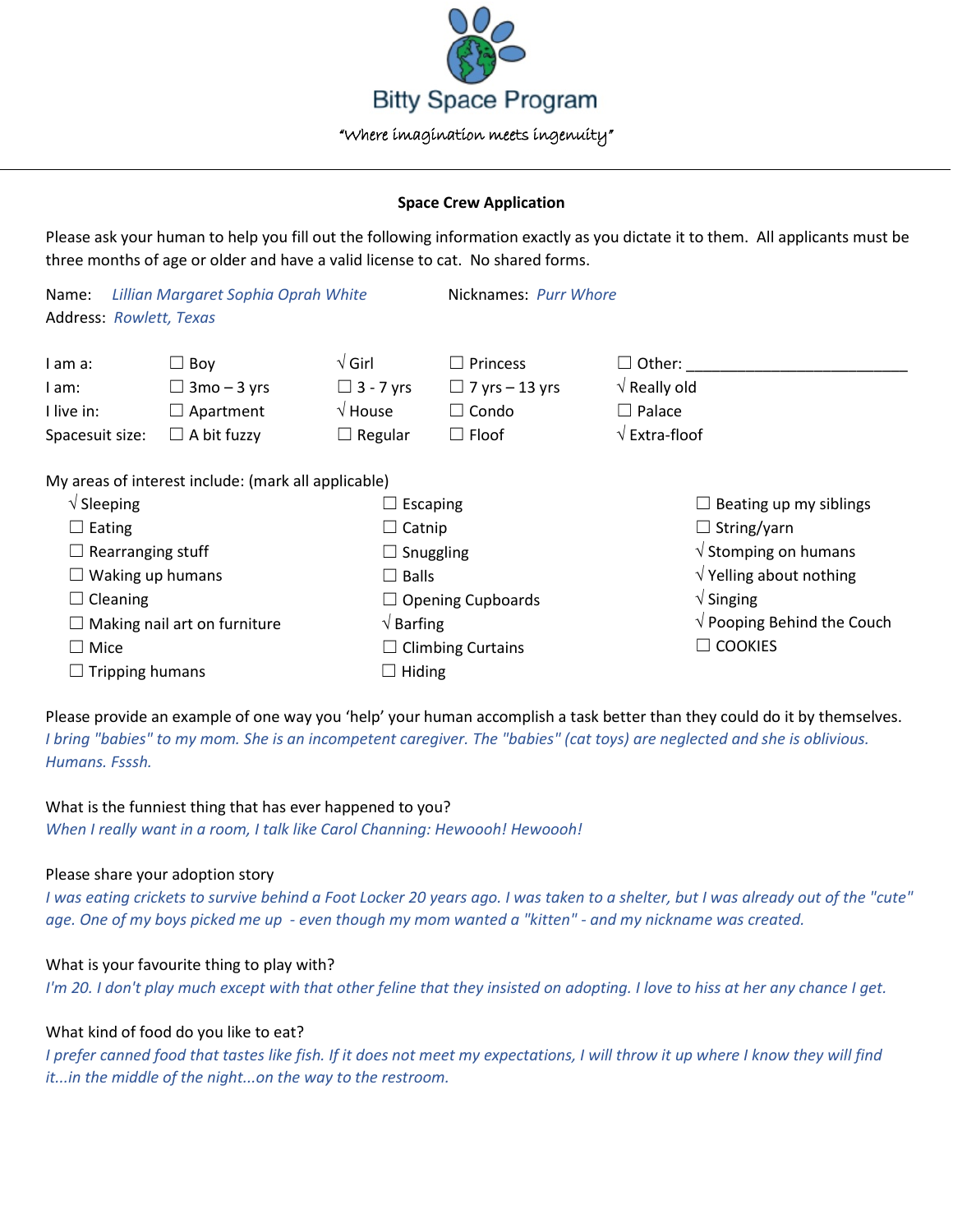

### **Space Crew Application**

Please ask your human to help you fill out the following information exactly as you dictate it to them. All applicants must be three months of age or older and have a valid license to cat. No shared forms.

| Lillian Margaret Sophia Oprah White<br>Name:<br><b>Address: Rowlett, Texas</b> |                                                                            |                                                                         | Nicknames: Purr Whore                                                    |                                                                                                       |
|--------------------------------------------------------------------------------|----------------------------------------------------------------------------|-------------------------------------------------------------------------|--------------------------------------------------------------------------|-------------------------------------------------------------------------------------------------------|
| I am a:<br>I am:<br>I live in:<br>Spacesuit size:                              | $\Box$ Boy<br>$\Box$ 3mo – 3 yrs<br>$\Box$ Apartment<br>$\Box$ A bit fuzzy | $\sqrt{G}$ irl<br>$\Box$ 3 - 7 yrs<br>$\sqrt{}$ House<br>$\Box$ Regular | $\Box$ Princess<br>$\Box$ 7 yrs – 13 yrs<br>$\Box$ Condo<br>$\Box$ Floof | $\Box$ Other:<br>$\sqrt{ }$ Really old<br>$\Box$ Palace<br>$\sqrt{\mathsf{Extra}\cdot\mathsf{floof}}$ |
|                                                                                | My areas of interest include: (mark all applicable)                        |                                                                         |                                                                          |                                                                                                       |
| $\sqrt{\phantom{a}}$ Sleeping                                                  |                                                                            | Escaping                                                                |                                                                          | Beating up my siblings                                                                                |
| $\Box$ Eating                                                                  |                                                                            | $\Box$ Catnip                                                           |                                                                          | $\Box$ String/yarn                                                                                    |
| $\Box$ Rearranging stuff                                                       |                                                                            | $\Box$ Snuggling                                                        |                                                                          | $\sqrt{ }$ Stomping on humans                                                                         |
| $\Box$ Waking up humans                                                        |                                                                            | $\Box$ Balls                                                            |                                                                          | $\sqrt{}$ Yelling about nothing                                                                       |
| $\Box$ Cleaning                                                                |                                                                            |                                                                         | $\Box$ Opening Cupboards                                                 | $\sqrt{\frac{1}{1}}$ Singing                                                                          |
| $\Box$ Making nail art on furniture                                            |                                                                            | $\sqrt{B}$ Barfing                                                      |                                                                          | $\sqrt{}$ Pooping Behind the Couch                                                                    |
| $\Box$ Mice                                                                    |                                                                            |                                                                         | $\Box$ Climbing Curtains                                                 | $\Box$ Cookies                                                                                        |
| $\Box$ Tripping humans                                                         |                                                                            |                                                                         | Hiding                                                                   |                                                                                                       |

Please provide an example of one way you 'help' your human accomplish a task better than they could do it by themselves. *I bring "babies" to my mom. She is an incompetent caregiver. The "babies" (cat toys) are neglected and she is oblivious. Humans. Fsssh.*

### What is the funniest thing that has ever happened to you?

*When I really want in a room, I talk like Carol Channing: Hewoooh! Hewoooh!*

# Please share your adoption story

*I was eating crickets to survive behind a Foot Locker 20 years ago. I was taken to a shelter, but I was already out of the "cute" age. One of my boys picked me up - even though my mom wanted a "kitten" - and my nickname was created.*

# What is your favourite thing to play with?

*I'm 20. I don't play much except with that other feline that they insisted on adopting. I love to hiss at her any chance I get.*

# What kind of food do you like to eat?

*I prefer canned food that tastes like fish. If it does not meet my expectations, I will throw it up where I know they will find it...in the middle of the night...on the way to the restroom.*